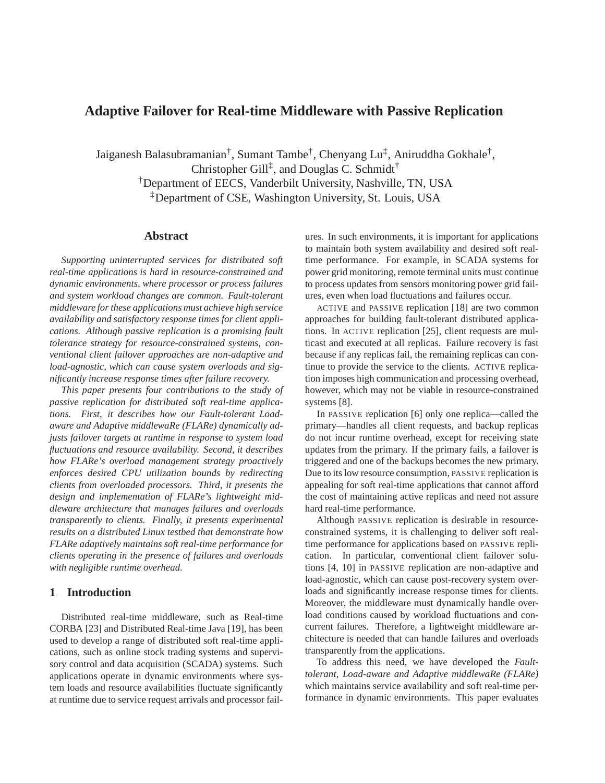# **Adaptive Failover for Real-time Middleware with Passive Replication**

Jaiganesh Balasubramanian<sup>†</sup>, Sumant Tambe<sup>†</sup>, Chenyang Lu<sup>‡</sup>, Aniruddha Gokhale<sup>†</sup>, Christopher Gill<sup>‡</sup>, and Douglas C. Schmidt<sup>†</sup> †Department of EECS, Vanderbilt University, Nashville, TN, USA

‡Department of CSE, Washington University, St. Louis, USA

# **Abstract**

*Supporting uninterrupted services for distributed soft real-time applications is hard in resource-constrained and dynamic environments, where processor or process failures and system workload changes are common. Fault-tolerant middleware for these applications must achieve high service availability and satisfactory response times for client applications. Although passive replication is a promising fault tolerance strategy for resource-constrained systems, conventional client failover approaches are non-adaptive and load-agnostic, which can cause system overloads and significantly increase response times after failure recovery.*

*This paper presents four contributions to the study of passive replication for distributed soft real-time applications. First, it describes how our Fault-tolerant Loadaware and Adaptive middlewaRe (FLARe) dynamically adjusts failover targets at runtime in response to system load fluctuations and resource availability. Second, it describes how FLARe's overload management strategy proactively enforces desired CPU utilization bounds by redirecting clients from overloaded processors. Third, it presents the design and implementation of FLARe's lightweight middleware architecture that manages failures and overloads transparently to clients. Finally, it presents experimental results on a distributed Linux testbed that demonstrate how FLARe adaptively maintains soft real-time performance for clients operating in the presence of failures and overloads with negligible runtime overhead.*

### **1 Introduction**

Distributed real-time middleware, such as Real-time CORBA [23] and Distributed Real-time Java [19], has been used to develop a range of distributed soft real-time applications, such as online stock trading systems and supervisory control and data acquisition (SCADA) systems. Such applications operate in dynamic environments where system loads and resource availabilities fluctuate significantly at runtime due to service request arrivals and processor failures. In such environments, it is important for applications to maintain both system availability and desired soft realtime performance. For example, in SCADA systems for power grid monitoring, remote terminal units must continue to process updates from sensors monitoring power grid failures, even when load fluctuations and failures occur.

ACTIVE and PASSIVE replication [18] are two common approaches for building fault-tolerant distributed applications. In ACTIVE replication [25], client requests are multicast and executed at all replicas. Failure recovery is fast because if any replicas fail, the remaining replicas can continue to provide the service to the clients. ACTIVE replication imposes high communication and processing overhead, however, which may not be viable in resource-constrained systems [8].

In PASSIVE replication [6] only one replica—called the primary—handles all client requests, and backup replicas do not incur runtime overhead, except for receiving state updates from the primary. If the primary fails, a failover is triggered and one of the backups becomes the new primary. Due to its low resource consumption, PASSIVE replication is appealing for soft real-time applications that cannot afford the cost of maintaining active replicas and need not assure hard real-time performance.

Although PASSIVE replication is desirable in resourceconstrained systems, it is challenging to deliver soft realtime performance for applications based on PASSIVE replication. In particular, conventional client failover solutions [4, 10] in PASSIVE replication are non-adaptive and load-agnostic, which can cause post-recovery system overloads and significantly increase response times for clients. Moreover, the middleware must dynamically handle overload conditions caused by workload fluctuations and concurrent failures. Therefore, a lightweight middleware architecture is needed that can handle failures and overloads transparently from the applications.

To address this need, we have developed the *Faulttolerant, Load-aware and Adaptive middlewaRe (FLARe)* which maintains service availability and soft real-time performance in dynamic environments. This paper evaluates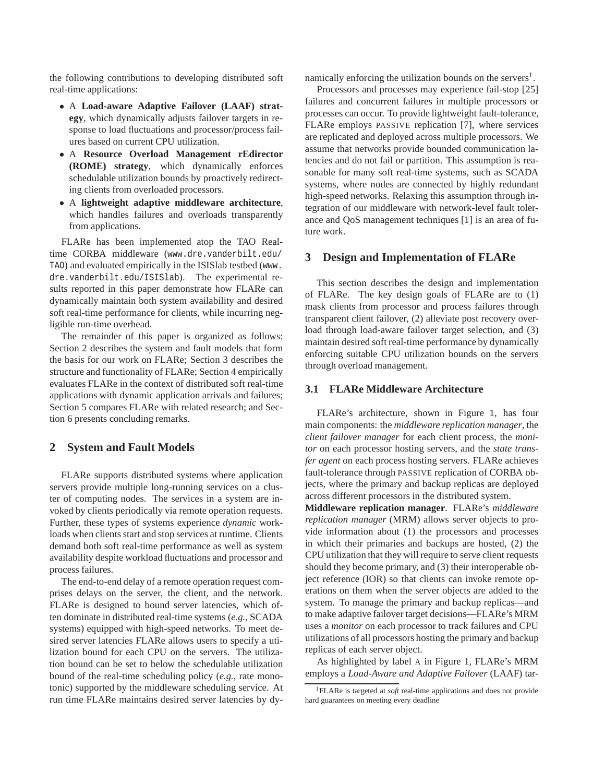the following contributions to developing distributed soft real-time applications:

- A **Load-aware Adaptive Failover (LAAF) strategy**, which dynamically adjusts failover targets in response to load fluctuations and processor/process failures based on current CPU utilization.
- A **Resource Overload Management rEdirector (ROME) strategy**, which dynamically enforces schedulable utilization bounds by proactively redirecting clients from overloaded processors.
- A **lightweight adaptive middleware architecture**, which handles failures and overloads transparently from applications.

FLARe has been implemented atop the TAO Realtime CORBA middleware (www.dre.vanderbilt.edu/ TAO) and evaluated empirically in the ISISlab testbed (www. dre.vanderbilt.edu/ISISlab). The experimental results reported in this paper demonstrate how FLARe can dynamically maintain both system availability and desired soft real-time performance for clients, while incurring negligible run-time overhead.

The remainder of this paper is organized as follows: Section 2 describes the system and fault models that form the basis for our work on FLARe; Section 3 describes the structure and functionality of FLARe; Section 4 empirically evaluates FLARe in the context of distributed soft real-time applications with dynamic application arrivals and failures; Section 5 compares FLARe with related research; and Section 6 presents concluding remarks.

# **2 System and Fault Models**

FLARe supports distributed systems where application servers provide multiple long-running services on a cluster of computing nodes. The services in a system are invoked by clients periodically via remote operation requests. Further, these types of systems experience *dynamic* workloads when clients start and stop services at runtime. Clients demand both soft real-time performance as well as system availability despite workload fluctuations and processor and process failures.

The end-to-end delay of a remote operation request comprises delays on the server, the client, and the network. FLARe is designed to bound server latencies, which often dominate in distributed real-time systems (*e.g.*, SCADA systems) equipped with high-speed networks. To meet desired server latencies FLARe allows users to specify a utilization bound for each CPU on the servers. The utilization bound can be set to below the schedulable utilization bound of the real-time scheduling policy (*e.g.*, rate monotonic) supported by the middleware scheduling service. At run time FLARe maintains desired server latencies by dynamically enforcing the utilization bounds on the servers<sup>1</sup>.

Processors and processes may experience fail-stop [25] failures and concurrent failures in multiple processors or processes can occur. To provide lightweight fault-tolerance, FLARe employs PASSIVE replication [7], where services are replicated and deployed across multiple processors. We assume that networks provide bounded communication latencies and do not fail or partition. This assumption is reasonable for many soft real-time systems, such as SCADA systems, where nodes are connected by highly redundant high-speed networks. Relaxing this assumption through integration of our middleware with network-level fault tolerance and QoS management techniques [1] is an area of future work.

#### **3 Design and Implementation of FLARe**

This section describes the design and implementation of FLARe. The key design goals of FLARe are to (1) mask clients from processor and process failures through transparent client failover, (2) alleviate post recovery overload through load-aware failover target selection, and (3) maintain desired soft real-time performance by dynamically enforcing suitable CPU utilization bounds on the servers through overload management.

#### **3.1 FLARe Middleware Architecture**

FLARe's architecture, shown in Figure 1, has four main components: the *middleware replication manager*, the *client failover manager* for each client process, the *monitor* on each processor hosting servers, and the *state transfer agent* on each process hosting servers. FLARe achieves fault-tolerance through PASSIVE replication of CORBA objects, where the primary and backup replicas are deployed across different processors in the distributed system.

**Middleware replication manager**. FLARe's *middleware replication manager* (MRM) allows server objects to provide information about (1) the processors and processes in which their primaries and backups are hosted, (2) the CPU utilization that they will require to serve client requests should they become primary, and (3) their interoperable object reference (IOR) so that clients can invoke remote operations on them when the server objects are added to the system. To manage the primary and backup replicas—and to make adaptive failover target decisions—FLARe's MRM uses a *monitor* on each processor to track failures and CPU utilizations of all processors hosting the primary and backup replicas of each server object.

As highlighted by label A in Figure 1, FLARe's MRM employs a *Load-Aware and Adaptive Failover* (LAAF) tar-

<sup>&</sup>lt;sup>1</sup>FLARe is targeted at *soft* real-time applications and does not provide hard guarantees on meeting every deadline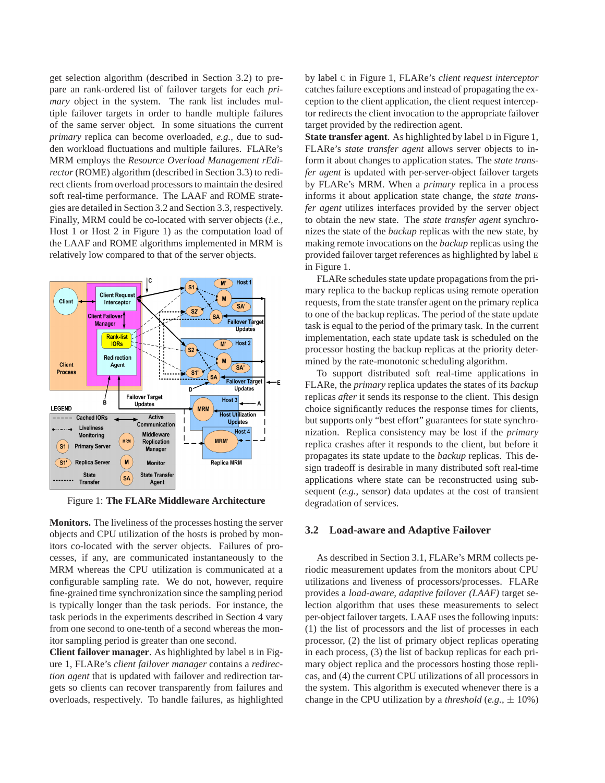get selection algorithm (described in Section 3.2) to prepare an rank-ordered list of failover targets for each *primary* object in the system. The rank list includes multiple failover targets in order to handle multiple failures of the same server object. In some situations the current *primary* replica can become overloaded, *e.g.*, due to sudden workload fluctuations and multiple failures. FLARe's MRM employs the *Resource Overload Management rEdirector* (ROME) algorithm (described in Section 3.3) to redirect clients from overload processors to maintain the desired soft real-time performance. The LAAF and ROME strategies are detailed in Section 3.2 and Section 3.3, respectively. Finally, MRM could be co-located with server objects (*i.e.,* Host 1 or Host 2 in Figure 1) as the computation load of the LAAF and ROME algorithms implemented in MRM is relatively low compared to that of the server objects.



Figure 1: **The FLARe Middleware Architecture**

**Monitors.** The liveliness of the processes hosting the server objects and CPU utilization of the hosts is probed by monitors co-located with the server objects. Failures of processes, if any, are communicated instantaneously to the MRM whereas the CPU utilization is communicated at a configurable sampling rate. We do not, however, require fine-grained time synchronization since the sampling period is typically longer than the task periods. For instance, the task periods in the experiments described in Section 4 vary from one second to one-tenth of a second whereas the monitor sampling period is greater than one second.

**Client failover manager**. As highlighted by label B in Figure 1, FLARe's *client failover manager* contains a *redirection agent* that is updated with failover and redirection targets so clients can recover transparently from failures and overloads, respectively. To handle failures, as highlighted by label C in Figure 1, FLARe's *client request interceptor* catches failure exceptions and instead of propagating the exception to the client application, the client request interceptor redirects the client invocation to the appropriate failover target provided by the redirection agent.

**State transfer agent**. As highlighted by label D in Figure 1, FLARe's *state transfer agent* allows server objects to inform it about changes to application states. The *state transfer agent* is updated with per-server-object failover targets by FLARe's MRM. When a *primary* replica in a process informs it about application state change, the *state transfer agent* utilizes interfaces provided by the server object to obtain the new state. The *state transfer agent* synchronizes the state of the *backup* replicas with the new state, by making remote invocations on the *backup* replicas using the provided failover target references as highlighted by label E in Figure 1.

FLARe schedules state update propagations from the primary replica to the backup replicas using remote operation requests, from the state transfer agent on the primary replica to one of the backup replicas. The period of the state update task is equal to the period of the primary task. In the current implementation, each state update task is scheduled on the processor hosting the backup replicas at the priority determined by the rate-monotonic scheduling algorithm.

To support distributed soft real-time applications in FLARe, the *primary* replica updates the states of its *backup* replicas *after* it sends its response to the client. This design choice significantly reduces the response times for clients, but supports only "best effort" guarantees for state synchronization. Replica consistency may be lost if the *primary* replica crashes after it responds to the client, but before it propagates its state update to the *backup* replicas. This design tradeoff is desirable in many distributed soft real-time applications where state can be reconstructed using subsequent (*e.g.*, sensor) data updates at the cost of transient degradation of services.

### **3.2 Load-aware and Adaptive Failover**

As described in Section 3.1, FLARe's MRM collects periodic measurement updates from the monitors about CPU utilizations and liveness of processors/processes. FLARe provides a *load-aware, adaptive failover (LAAF)* target selection algorithm that uses these measurements to select per-object failover targets. LAAF uses the following inputs: (1) the list of processors and the list of processes in each processor, (2) the list of primary object replicas operating in each process, (3) the list of backup replicas for each primary object replica and the processors hosting those replicas, and (4) the current CPU utilizations of all processors in the system. This algorithm is executed whenever there is a change in the CPU utilization by a *threshold* (*e.g.*,  $\pm$  10%)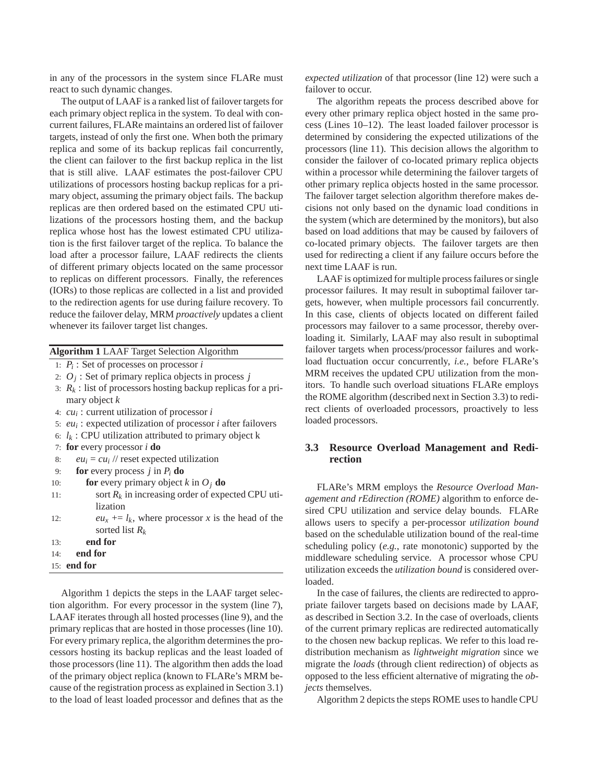in any of the processors in the system since FLARe must react to such dynamic changes.

The output of LAAF is a ranked list of failover targets for each primary object replica in the system. To deal with concurrent failures, FLARe maintains an ordered list of failover targets, instead of only the first one. When both the primary replica and some of its backup replicas fail concurrently, the client can failover to the first backup replica in the list that is still alive. LAAF estimates the post-failover CPU utilizations of processors hosting backup replicas for a primary object, assuming the primary object fails. The backup replicas are then ordered based on the estimated CPU utilizations of the processors hosting them, and the backup replica whose host has the lowest estimated CPU utilization is the first failover target of the replica. To balance the load after a processor failure, LAAF redirects the clients of different primary objects located on the same processor to replicas on different processors. Finally, the references (IORs) to those replicas are collected in a list and provided to the redirection agents for use during failure recovery. To reduce the failover delay, MRM *proactively* updates a client whenever its failover target list changes.

| <b>Algorithm 1 LAAF Target Selection Algorithm</b> |  |  |
|----------------------------------------------------|--|--|
|----------------------------------------------------|--|--|

| 1: $P_i$ : Set of processes on processor i |  |  |
|--------------------------------------------|--|--|
|--------------------------------------------|--|--|

- 2: *O<sup>j</sup>* : Set of primary replica objects in process *j*
- 3: *R<sup>k</sup>* : list of processors hosting backup replicas for a primary object *k*
- 4: *cu<sup>i</sup>* : current utilization of processor *i*
- 5: *eu<sup>i</sup>* : expected utilization of processor *i* after failovers
- 6:  $l_k$  : CPU utilization attributed to primary object k
- 7: **for** every processor *i* **do**

| 8: |  |  |  |  | $eu_i = cu_i$ // reset expected utilization |
|----|--|--|--|--|---------------------------------------------|
|----|--|--|--|--|---------------------------------------------|

- 9: **for** every process  $j$  in  $P_i$  **do**
- 10: **for** every primary object  $k$  in  $O_i$  **do**
- 11: sort  $R_k$  in increasing order of expected CPU utilization
- 12:  $eu_x + I_k$ , where processor *x* is the head of the sorted list *R<sup>k</sup>*
- 13: **end for**
- 14: **end for**
- 15: **end for**

Algorithm 1 depicts the steps in the LAAF target selection algorithm. For every processor in the system (line 7), LAAF iterates through all hosted processes (line 9), and the primary replicas that are hosted in those processes (line 10). For every primary replica, the algorithm determines the processors hosting its backup replicas and the least loaded of those processors (line 11). The algorithm then adds the load of the primary object replica (known to FLARe's MRM because of the registration process as explained in Section 3.1) to the load of least loaded processor and defines that as the

*expected utilization* of that processor (line 12) were such a failover to occur.

The algorithm repeats the process described above for every other primary replica object hosted in the same process (Lines 10–12). The least loaded failover processor is determined by considering the expected utilizations of the processors (line 11). This decision allows the algorithm to consider the failover of co-located primary replica objects within a processor while determining the failover targets of other primary replica objects hosted in the same processor. The failover target selection algorithm therefore makes decisions not only based on the dynamic load conditions in the system (which are determined by the monitors), but also based on load additions that may be caused by failovers of co-located primary objects. The failover targets are then used for redirecting a client if any failure occurs before the next time LAAF is run.

LAAF is optimized for multiple process failures or single processor failures. It may result in suboptimal failover targets, however, when multiple processors fail concurrently. In this case, clients of objects located on different failed processors may failover to a same processor, thereby overloading it. Similarly, LAAF may also result in suboptimal failover targets when process/processor failures and workload fluctuation occur concurrently, *i.e.*, before FLARe's MRM receives the updated CPU utilization from the monitors. To handle such overload situations FLARe employs the ROME algorithm (described next in Section 3.3) to redirect clients of overloaded processors, proactively to less loaded processors.

# **3.3 Resource Overload Management and Redirection**

FLARe's MRM employs the *Resource Overload Management and rEdirection (ROME)* algorithm to enforce desired CPU utilization and service delay bounds. FLARe allows users to specify a per-processor *utilization bound* based on the schedulable utilization bound of the real-time scheduling policy (*e.g.*, rate monotonic) supported by the middleware scheduling service. A processor whose CPU utilization exceeds the *utilization bound* is considered overloaded.

In the case of failures, the clients are redirected to appropriate failover targets based on decisions made by LAAF, as described in Section 3.2. In the case of overloads, clients of the current primary replicas are redirected automatically to the chosen new backup replicas. We refer to this load redistribution mechanism as *lightweight migration* since we migrate the *loads* (through client redirection) of objects as opposed to the less efficient alternative of migrating the *objects* themselves.

Algorithm 2 depicts the steps ROME uses to handle CPU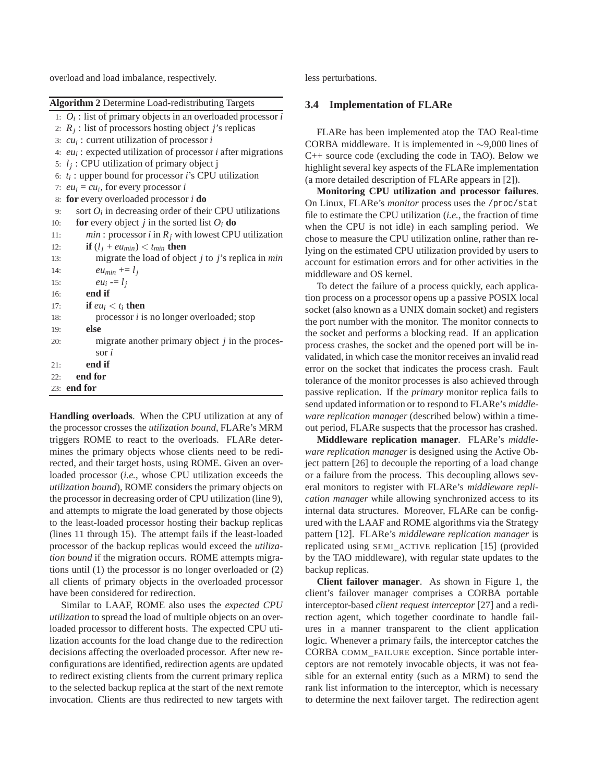overload and load imbalance, respectively.

**Algorithm 2** Determine Load-redistributing Targets

1:  $O_i$  : list of primary objects in an overloaded processor  $i$ 

2:  $R_j$ : list of processors hosting object *j*'s replicas

3: *cu<sup>i</sup>* : current utilization of processor *i* 4: *eu<sup>i</sup>* : expected utilization of processor *i* after migrations

5: *l<sup>j</sup>* : CPU utilization of primary object j 6: *t<sup>i</sup>* : upper bound for processor *i*'s CPU utilization

7:  $eu_i = cu_i$ , for every processor *i* 

8: **for** every overloaded processor *i* **do**

9: sort  $O_i$  in decreasing order of their CPU utilizations

10: **for** every object *j* in the sorted list  $O_i$  **do** 

11: *min* : processor *i* in  $R_i$  with lowest CPU utilization 12: **if**  $(l_j + eu_{min}) < t_{min}$  **then** 

13: migrate the load of object *j* to *j*'s replica in *min* 14:  $eu_{min} == l_i$ 

15:  $eu_i = l_i$ 16: **end if** 17: **if**  $eu_i < t_i$  **then** 

18: processor *i* is no longer overloaded; stop

19: **else** 20: migrate another primary object *j* in the proces-

sor *i*

21: **end if**

22: **end for**

23: **end for**

**Handling overloads**. When the CPU utilization at any of the processor crosses the *utilization bound*, FLARe's MRM triggers ROME to react to the overloads. FLARe determines the primary objects whose clients need to be redirected, and their target hosts, using ROME. Given an overloaded processor (*i.e.*, whose CPU utilization exceeds the *utilization bound*), ROME considers the primary objects on the processor in decreasing order of CPU utilization (line 9), and attempts to migrate the load generated by those objects to the least-loaded processor hosting their backup replicas (lines 11 through 15). The attempt fails if the least-loaded processor of the backup replicas would exceed the *utilization bound* if the migration occurs. ROME attempts migrations until (1) the processor is no longer overloaded or (2) all clients of primary objects in the overloaded processor have been considered for redirection.

Similar to LAAF, ROME also uses the *expected CPU utilization* to spread the load of multiple objects on an overloaded processor to different hosts. The expected CPU utilization accounts for the load change due to the redirection decisions affecting the overloaded processor. After new reconfigurations are identified, redirection agents are updated to redirect existing clients from the current primary replica to the selected backup replica at the start of the next remote invocation. Clients are thus redirected to new targets with less perturbations.

### **3.4 Implementation of FLARe**

FLARe has been implemented atop the TAO Real-time CORBA middleware. It is implemented in ∼9,000 lines of C++ source code (excluding the code in TAO). Below we highlight several key aspects of the FLARe implementation (a more detailed description of FLARe appears in [2]).

**Monitoring CPU utilization and processor failures**. On Linux, FLARe's *monitor* process uses the /proc/stat file to estimate the CPU utilization (*i.e.*, the fraction of time when the CPU is not idle) in each sampling period. We chose to measure the CPU utilization online, rather than relying on the estimated CPU utilization provided by users to account for estimation errors and for other activities in the middleware and OS kernel.

To detect the failure of a process quickly, each application process on a processor opens up a passive POSIX local socket (also known as a UNIX domain socket) and registers the port number with the monitor. The monitor connects to the socket and performs a blocking read. If an application process crashes, the socket and the opened port will be invalidated, in which case the monitor receives an invalid read error on the socket that indicates the process crash. Fault tolerance of the monitor processes is also achieved through passive replication. If the *primary* monitor replica fails to send updated information or to respond to FLARe's *middleware replication manager* (described below) within a timeout period, FLARe suspects that the processor has crashed.

**Middleware replication manager**. FLARe's *middleware replication manager* is designed using the Active Object pattern [26] to decouple the reporting of a load change or a failure from the process. This decoupling allows several monitors to register with FLARe's *middleware replication manager* while allowing synchronized access to its internal data structures. Moreover, FLARe can be configured with the LAAF and ROME algorithms via the Strategy pattern [12]. FLARe's *middleware replication manager* is replicated using SEMI\_ACTIVE replication [15] (provided by the TAO middleware), with regular state updates to the backup replicas.

**Client failover manager**. As shown in Figure 1, the client's failover manager comprises a CORBA portable interceptor-based *client request interceptor* [27] and a redirection agent, which together coordinate to handle failures in a manner transparent to the client application logic. Whenever a primary fails, the interceptor catches the CORBA COMM\_FAILURE exception. Since portable interceptors are not remotely invocable objects, it was not feasible for an external entity (such as a MRM) to send the rank list information to the interceptor, which is necessary to determine the next failover target. The redirection agent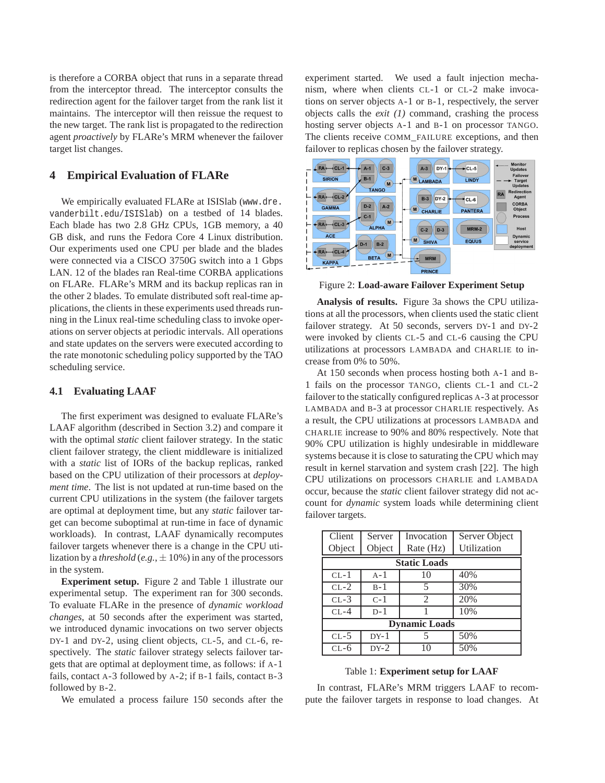is therefore a CORBA object that runs in a separate thread from the interceptor thread. The interceptor consults the redirection agent for the failover target from the rank list it maintains. The interceptor will then reissue the request to the new target. The rank list is propagated to the redirection agent *proactively* by FLARe's MRM whenever the failover target list changes.

# **4 Empirical Evaluation of FLARe**

We empirically evaluated FLARe at ISISlab (www.dre. vanderbilt.edu/ISISlab) on a testbed of 14 blades. Each blade has two 2.8 GHz CPUs, 1GB memory, a 40 GB disk, and runs the Fedora Core 4 Linux distribution. Our experiments used one CPU per blade and the blades were connected via a CISCO 3750G switch into a 1 Gbps LAN. 12 of the blades ran Real-time CORBA applications on FLARe. FLARe's MRM and its backup replicas ran in the other 2 blades. To emulate distributed soft real-time applications, the clients in these experiments used threads running in the Linux real-time scheduling class to invoke operations on server objects at periodic intervals. All operations and state updates on the servers were executed according to the rate monotonic scheduling policy supported by the TAO scheduling service.

#### **4.1 Evaluating LAAF**

The first experiment was designed to evaluate FLARe's LAAF algorithm (described in Section 3.2) and compare it with the optimal *static* client failover strategy. In the static client failover strategy, the client middleware is initialized with a *static* list of IORs of the backup replicas, ranked based on the CPU utilization of their processors at *deployment time*. The list is not updated at run-time based on the current CPU utilizations in the system (the failover targets are optimal at deployment time, but any *static* failover target can become suboptimal at run-time in face of dynamic workloads). In contrast, LAAF dynamically recomputes failover targets whenever there is a change in the CPU utilization by a *threshold* (*e.g.*,  $\pm$  10%) in any of the processors in the system.

**Experiment setup.** Figure 2 and Table 1 illustrate our experimental setup. The experiment ran for 300 seconds. To evaluate FLARe in the presence of *dynamic workload changes*, at 50 seconds after the experiment was started, we introduced dynamic invocations on two server objects DY-1 and DY-2, using client objects, CL-5, and CL-6, respectively. The *static* failover strategy selects failover targets that are optimal at deployment time, as follows: if A-1 fails, contact A-3 followed by A-2; if B-1 fails, contact B-3 followed by B-2.

We emulated a process failure 150 seconds after the

experiment started. We used a fault injection mechanism, where when clients CL-1 or CL-2 make invocations on server objects A-1 or B-1, respectively, the server objects calls the *exit (1)* command, crashing the process hosting server objects A-1 and B-1 on processor TANGO. The clients receive COMM\_FAILURE exceptions, and then failover to replicas chosen by the failover strategy.



Figure 2: **Load-aware Failover Experiment Setup**

**Analysis of results.** Figure 3a shows the CPU utilizations at all the processors, when clients used the static client failover strategy. At 50 seconds, servers DY-1 and DY-2 were invoked by clients CL-5 and CL-6 causing the CPU utilizations at processors LAMBADA and CHARLIE to increase from 0% to 50%.

At 150 seconds when process hosting both A-1 and B-1 fails on the processor TANGO, clients CL-1 and CL-2 failover to the statically configured replicas A-3 at processor LAMBADA and B-3 at processor CHARLIE respectively. As a result, the CPU utilizations at processors LAMBADA and CHARLIE increase to 90% and 80% respectively. Note that 90% CPU utilization is highly undesirable in middleware systems because it is close to saturating the CPU which may result in kernel starvation and system crash [22]. The high CPU utilizations on processors CHARLIE and LAMBADA occur, because the *static* client failover strategy did not account for *dynamic* system loads while determining client failover targets.

| Client               | Server | Invocation                  | Server Object |  |
|----------------------|--------|-----------------------------|---------------|--|
| Object               | Object | Rate (Hz)                   | Utilization   |  |
| <b>Static Loads</b>  |        |                             |               |  |
| $CL-1$               | $A-1$  | 10                          | 40%           |  |
| $CL-2$               | $B-1$  | 5                           | 30%           |  |
| $CL-3$               | c-1    | $\mathcal{D}_{\mathcal{L}}$ | 20%           |  |
| $CL-4$               | $D-1$  |                             | 10%           |  |
| <b>Dynamic Loads</b> |        |                             |               |  |
| $CL-5$               | $DY-1$ |                             | 50%           |  |
| $CL-6$               | $DY-2$ | 10                          | 50%           |  |

#### Table 1: **Experiment setup for LAAF**

In contrast, FLARe's MRM triggers LAAF to recompute the failover targets in response to load changes. At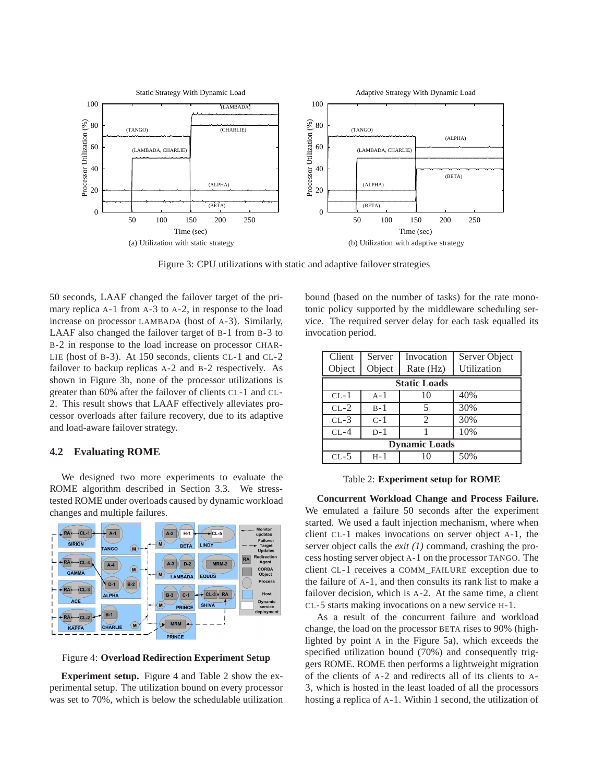

Figure 3: CPU utilizations with static and adaptive failover strategies

50 seconds, LAAF changed the failover target of the primary replica A-1 from A-3 to A-2, in response to the load increase on processor LAMBADA (host of A-3). Similarly, LAAF also changed the failover target of B-1 from B-3 to B-2 in response to the load increase on processor CHAR-LIE (host of B-3). At 150 seconds, clients CL-1 and CL-2 failover to backup replicas A-2 and B-2 respectively. As shown in Figure 3b, none of the processor utilizations is greater than 60% after the failover of clients CL-1 and CL-2. This result shows that LAAF effectively alleviates processor overloads after failure recovery, due to its adaptive and load-aware failover strategy.

# **4.2 Evaluating ROME**

We designed two more experiments to evaluate the ROME algorithm described in Section 3.3. We stresstested ROME under overloads caused by dynamic workload changes and multiple failures.



Figure 4: **Overload Redirection Experiment Setup**

**Experiment setup.** Figure 4 and Table 2 show the experimental setup. The utilization bound on every processor was set to 70%, which is below the schedulable utilization bound (based on the number of tasks) for the rate monotonic policy supported by the middleware scheduling service. The required server delay for each task equalled its invocation period.

| Client               | Server | Invocation                  | Server Object |  |  |
|----------------------|--------|-----------------------------|---------------|--|--|
| Object               | Object | Rate (Hz)                   | Utilization   |  |  |
| <b>Static Loads</b>  |        |                             |               |  |  |
| $CL-1$               | $A-1$  | 10                          | 40%           |  |  |
| $CL-2$               | $B-1$  | 5                           | 30%           |  |  |
| $CL-3$               | $C-1$  | $\mathcal{D}_{\mathcal{L}}$ | 30%           |  |  |
| $CL-4$               | $D-1$  |                             | 10%           |  |  |
| <b>Dynamic Loads</b> |        |                             |               |  |  |
| $CL-5$               | H-1    | 10                          | 50%           |  |  |

Table 2: **Experiment setup for ROME**

**Concurrent Workload Change and Process Failure.** We emulated a failure 50 seconds after the experiment started. We used a fault injection mechanism, where when client CL-1 makes invocations on server object A-1, the server object calls the *exit* (1) command, crashing the process hosting server object A-1 on the processor TANGO. The client CL-1 receives a COMM\_FAILURE exception due to the failure of A-1, and then consults its rank list to make a failover decision, which is A-2. At the same time, a client CL-5 starts making invocations on a new service H-1.

As a result of the concurrent failure and workload change, the load on the processor BETA rises to 90% (highlighted by point A in the Figure 5a), which exceeds the specified utilization bound (70%) and consequently triggers ROME. ROME then performs a lightweight migration of the clients of A-2 and redirects all of its clients to A-3, which is hosted in the least loaded of all the processors hosting a replica of A-1. Within 1 second, the utilization of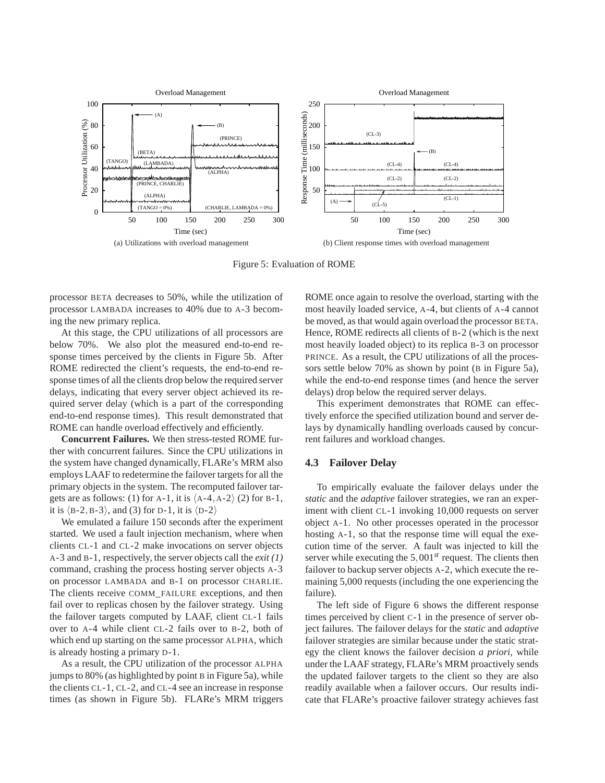

Figure 5: Evaluation of ROME

processor BETA decreases to 50%, while the utilization of processor LAMBADA increases to 40% due to A-3 becoming the new primary replica.

At this stage, the CPU utilizations of all processors are below 70%. We also plot the measured end-to-end response times perceived by the clients in Figure 5b. After ROME redirected the client's requests, the end-to-end response times of all the clients drop below the required server delays, indicating that every server object achieved its required server delay (which is a part of the corresponding end-to-end response times). This result demonstrated that ROME can handle overload effectively and efficiently.

**Concurrent Failures.** We then stress-tested ROME further with concurrent failures. Since the CPU utilizations in the system have changed dynamically, FLARe's MRM also employs LAAF to redetermine the failover targets for all the primary objects in the system. The recomputed failover targets are as follows: (1) for A-1, it is  $\langle A-4, A-2 \rangle$  (2) for B-1, it is  $\langle B-2,B-3\rangle$ , and (3) for D-1, it is  $\langle D-2\rangle$ 

We emulated a failure 150 seconds after the experiment started. We used a fault injection mechanism, where when clients CL-1 and CL-2 make invocations on server objects A-3 and B-1, respectively, the server objects call the *exit (1)* command, crashing the process hosting server objects A-3 on processor LAMBADA and B-1 on processor CHARLIE. The clients receive COMM\_FAILURE exceptions, and then fail over to replicas chosen by the failover strategy. Using the failover targets computed by LAAF, client CL-1 fails over to A-4 while client CL-2 fails over to B-2, both of which end up starting on the same processor ALPHA, which is already hosting a primary D-1.

As a result, the CPU utilization of the processor ALPHA jumps to 80% (as highlighted by point B in Figure 5a), while the clients CL-1, CL-2, and CL-4 see an increase in response times (as shown in Figure 5b). FLARe's MRM triggers ROME once again to resolve the overload, starting with the most heavily loaded service, A-4, but clients of A-4 cannot be moved, as that would again overload the processor BETA. Hence, ROME redirects all clients of B-2 (which is the next most heavily loaded object) to its replica B-3 on processor PRINCE. As a result, the CPU utilizations of all the processors settle below 70% as shown by point (B in Figure 5a), while the end-to-end response times (and hence the server delays) drop below the required server delays.

This experiment demonstrates that ROME can effectively enforce the specified utilization bound and server delays by dynamically handling overloads caused by concurrent failures and workload changes.

#### **4.3 Failover Delay**

To empirically evaluate the failover delays under the *static* and the *adaptive* failover strategies, we ran an experiment with client CL-1 invoking 10,000 requests on server object A-1. No other processes operated in the processor hosting A-1, so that the response time will equal the execution time of the server. A fault was injected to kill the server while executing the 5,001*st* request. The clients then failover to backup server objects A-2, which execute the remaining 5,000 requests (including the one experiencing the failure).

The left side of Figure 6 shows the different response times perceived by client C-1 in the presence of server object failures. The failover delays for the *static* and *adaptive* failover strategies are similar because under the static strategy the client knows the failover decision *a priori*, while under the LAAF strategy, FLARe's MRM proactively sends the updated failover targets to the client so they are also readily available when a failover occurs. Our results indicate that FLARe's proactive failover strategy achieves fast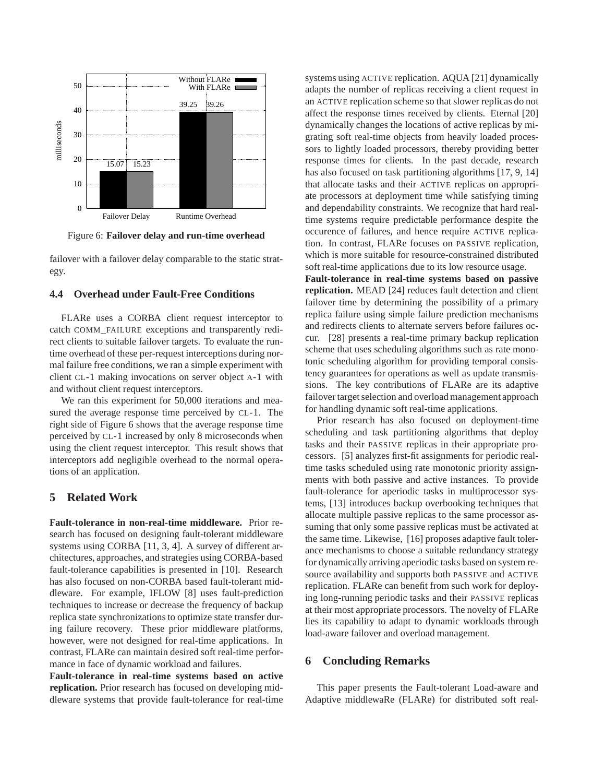

Figure 6: **Failover delay and run-time overhead**

failover with a failover delay comparable to the static strategy.

#### **4.4 Overhead under Fault-Free Conditions**

FLARe uses a CORBA client request interceptor to catch COMM\_FAILURE exceptions and transparently redirect clients to suitable failover targets. To evaluate the runtime overhead of these per-request interceptions during normal failure free conditions, we ran a simple experiment with client CL-1 making invocations on server object A-1 with and without client request interceptors.

We ran this experiment for 50,000 iterations and measured the average response time perceived by CL-1. The right side of Figure 6 shows that the average response time perceived by CL-1 increased by only 8 microseconds when using the client request interceptor. This result shows that interceptors add negligible overhead to the normal operations of an application.

# **5 Related Work**

**Fault-tolerance in non-real-time middleware.** Prior research has focused on designing fault-tolerant middleware systems using CORBA [11, 3, 4]. A survey of different architectures, approaches, and strategies using CORBA-based fault-tolerance capabilities is presented in [10]. Research has also focused on non-CORBA based fault-tolerant middleware. For example, IFLOW [8] uses fault-prediction techniques to increase or decrease the frequency of backup replica state synchronizations to optimize state transfer during failure recovery. These prior middleware platforms, however, were not designed for real-time applications. In contrast, FLARe can maintain desired soft real-time performance in face of dynamic workload and failures.

**Fault-tolerance in real-time systems based on active replication.** Prior research has focused on developing middleware systems that provide fault-tolerance for real-time systems using ACTIVE replication. AQUA [21] dynamically adapts the number of replicas receiving a client request in an ACTIVE replication scheme so that slower replicas do not affect the response times received by clients. Eternal [20] dynamically changes the locations of active replicas by migrating soft real-time objects from heavily loaded processors to lightly loaded processors, thereby providing better response times for clients. In the past decade, research has also focused on task partitioning algorithms [17, 9, 14] that allocate tasks and their ACTIVE replicas on appropriate processors at deployment time while satisfying timing and dependability constraints. We recognize that hard realtime systems require predictable performance despite the occurence of failures, and hence require ACTIVE replication. In contrast, FLARe focuses on PASSIVE replication, which is more suitable for resource-constrained distributed soft real-time applications due to its low resource usage.

**Fault-tolerance in real-time systems based on passive replication.** MEAD [24] reduces fault detection and client failover time by determining the possibility of a primary replica failure using simple failure prediction mechanisms and redirects clients to alternate servers before failures occur. [28] presents a real-time primary backup replication scheme that uses scheduling algorithms such as rate monotonic scheduling algorithm for providing temporal consistency guarantees for operations as well as update transmissions. The key contributions of FLARe are its adaptive failover target selection and overload management approach for handling dynamic soft real-time applications.

Prior research has also focused on deployment-time scheduling and task partitioning algorithms that deploy tasks and their PASSIVE replicas in their appropriate processors. [5] analyzes first-fit assignments for periodic realtime tasks scheduled using rate monotonic priority assignments with both passive and active instances. To provide fault-tolerance for aperiodic tasks in multiprocessor systems, [13] introduces backup overbooking techniques that allocate multiple passive replicas to the same processor assuming that only some passive replicas must be activated at the same time. Likewise, [16] proposes adaptive fault tolerance mechanisms to choose a suitable redundancy strategy for dynamically arriving aperiodic tasks based on system resource availability and supports both PASSIVE and ACTIVE replication. FLARe can benefit from such work for deploying long-running periodic tasks and their PASSIVE replicas at their most appropriate processors. The novelty of FLARe lies its capability to adapt to dynamic workloads through load-aware failover and overload management.

# **6 Concluding Remarks**

This paper presents the Fault-tolerant Load-aware and Adaptive middlewaRe (FLARe) for distributed soft real-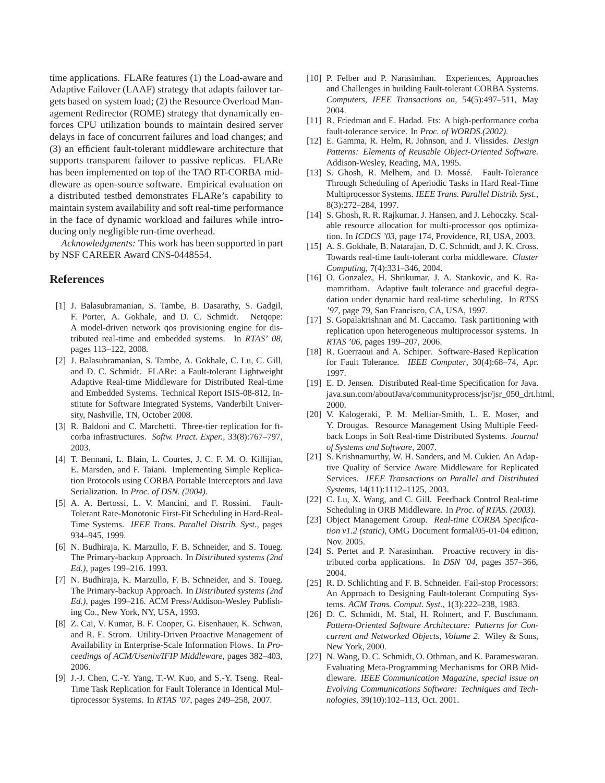time applications. FLARe features (1) the Load-aware and Adaptive Failover (LAAF) strategy that adapts failover targets based on system load; (2) the Resource Overload Management Redirector (ROME) strategy that dynamically enforces CPU utilization bounds to maintain desired server delays in face of concurrent failures and load changes; and (3) an efficient fault-tolerant middleware architecture that supports transparent failover to passive replicas. FLARe has been implemented on top of the TAO RT-CORBA middleware as open-source software. Empirical evaluation on a distributed testbed demonstrates FLARe's capability to maintain system availability and soft real-time performance in the face of dynamic workload and failures while introducing only negligible run-time overhead.

*Acknowledgments:* This work has been supported in part by NSF CAREER Award CNS-0448554.

# **References**

- [1] J. Balasubramanian, S. Tambe, B. Dasarathy, S. Gadgil, F. Porter, A. Gokhale, and D. C. Schmidt. Netqope: A model-driven network qos provisioning engine for distributed real-time and embedded systems. In *RTAS' 08*, pages 113–122, 2008.
- [2] J. Balasubramanian, S. Tambe, A. Gokhale, C. Lu, C. Gill, and D. C. Schmidt. FLARe: a Fault-tolerant Lightweight Adaptive Real-time Middleware for Distributed Real-time and Embedded Systems. Technical Report ISIS-08-812, Institute for Software Integrated Systems, Vanderbilt University, Nashville, TN, October 2008.
- [3] R. Baldoni and C. Marchetti. Three-tier replication for ftcorba infrastructures. *Softw. Pract. Exper.*, 33(8):767–797, 2003.
- [4] T. Bennani, L. Blain, L. Courtes, J. C. F. M. O. Killijian, E. Marsden, and F. Taiani. Implementing Simple Replication Protocols using CORBA Portable Interceptors and Java Serialization. In *Proc. of DSN. (2004)*.
- [5] A. A. Bertossi, L. V. Mancini, and F. Rossini. Fault-Tolerant Rate-Monotonic First-Fit Scheduling in Hard-Real-Time Systems. *IEEE Trans. Parallel Distrib. Syst.*, pages 934–945, 1999.
- [6] N. Budhiraja, K. Marzullo, F. B. Schneider, and S. Toueg. The Primary-backup Approach. In *Distributed systems (2nd Ed.)*, pages 199–216. 1993.
- [7] N. Budhiraja, K. Marzullo, F. B. Schneider, and S. Toueg. The Primary-backup Approach. In *Distributed systems (2nd Ed.)*, pages 199–216. ACM Press/Addison-Wesley Publishing Co., New York, NY, USA, 1993.
- [8] Z. Cai, V. Kumar, B. F. Cooper, G. Eisenhauer, K. Schwan, and R. E. Strom. Utility-Driven Proactive Management of Availability in Enterprise-Scale Information Flows. In *Proceedings of ACM/Usenix/IFIP Middleware*, pages 382–403, 2006.
- [9] J.-J. Chen, C.-Y. Yang, T.-W. Kuo, and S.-Y. Tseng. Real-Time Task Replication for Fault Tolerance in Identical Multiprocessor Systems. In *RTAS '07*, pages 249–258, 2007.
- [10] P. Felber and P. Narasimhan. Experiences, Approaches and Challenges in building Fault-tolerant CORBA Systems. *Computers, IEEE Transactions on*, 54(5):497–511, May 2004.
- [11] R. Friedman and E. Hadad. Fts: A high-performance corba fault-tolerance service. In *Proc. of WORDS.(2002)*.
- [12] E. Gamma, R. Helm, R. Johnson, and J. Vlissides. *Design Patterns: Elements of Reusable Object-Oriented Software*. Addison-Wesley, Reading, MA, 1995.
- [13] S. Ghosh, R. Melhem, and D. Mossé. Fault-Tolerance Through Scheduling of Aperiodic Tasks in Hard Real-Time Multiprocessor Systems. *IEEE Trans. Parallel Distrib. Syst.*, 8(3):272–284, 1997.
- [14] S. Ghosh, R. R. Rajkumar, J. Hansen, and J. Lehoczky. Scalable resource allocation for multi-processor qos optimization. In *ICDCS '03*, page 174, Providence, RI, USA, 2003.
- [15] A. S. Gokhale, B. Natarajan, D. C. Schmidt, and J. K. Cross. Towards real-time fault-tolerant corba middleware. *Cluster Computing*, 7(4):331–346, 2004.
- [16] O. Gonzalez, H. Shrikumar, J. A. Stankovic, and K. Ramamritham. Adaptive fault tolerance and graceful degradation under dynamic hard real-time scheduling. In *RTSS '97*, page 79, San Francisco, CA, USA, 1997.
- [17] S. Gopalakrishnan and M. Caccamo. Task partitioning with replication upon heterogeneous multiprocessor systems. In *RTAS '06*, pages 199–207, 2006.
- [18] R. Guerraoui and A. Schiper. Software-Based Replication for Fault Tolerance. *IEEE Computer*, 30(4):68–74, Apr. 1997.
- [19] E. D. Jensen. Distributed Real-time Specification for Java. java.sun.com/aboutJava/communityprocess/jsr/jsr\_050\_drt.html, 2000.
- [20] V. Kalogeraki, P. M. Melliar-Smith, L. E. Moser, and Y. Drougas. Resource Management Using Multiple Feedback Loops in Soft Real-time Distributed Systems. *Journal of Systems and Software*, 2007.
- [21] S. Krishnamurthy, W. H. Sanders, and M. Cukier. An Adaptive Quality of Service Aware Middleware for Replicated Services. *IEEE Transactions on Parallel and Distributed Systems*, 14(11):1112–1125, 2003.
- [22] C. Lu, X. Wang, and C. Gill. Feedback Control Real-time Scheduling in ORB Middleware. In *Proc. of RTAS. (2003)*.
- [23] Object Management Group. *Real-time CORBA Specification v1.2 (static)*, OMG Document formal/05-01-04 edition, Nov. 2005.
- [24] S. Pertet and P. Narasimhan. Proactive recovery in distributed corba applications. In *DSN '04*, pages 357–366, 2004.
- [25] R. D. Schlichting and F. B. Schneider. Fail-stop Processors: An Approach to Designing Fault-tolerant Computing Systems. *ACM Trans. Comput. Syst.*, 1(3):222–238, 1983.
- [26] D. C. Schmidt, M. Stal, H. Rohnert, and F. Buschmann. *Pattern-Oriented Software Architecture: Patterns for Concurrent and Networked Objects, Volume 2*. Wiley & Sons, New York, 2000.
- [27] N. Wang, D. C. Schmidt, O. Othman, and K. Parameswaran. Evaluating Meta-Programming Mechanisms for ORB Middleware. *IEEE Communication Magazine, special issue on Evolving Communications Software: Techniques and Technologies*, 39(10):102–113, Oct. 2001.